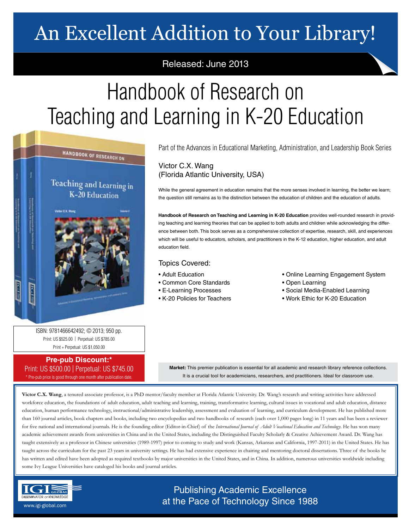## An Excellent Addition to Your Library!

## Released: June 2013

# Handbook of Research on Teaching and Learning in K-20 Education



Part of the Advances in Educational Marketing, Administration, and Leadership Book Series

### Victor C.X. Wang (Florida Atlantic University, USA)

While the general agreement in education remains that the more senses involved in learning, the better we learn; the question still remains as to the distinction between the education of children and the education of adults.

**Handbook of Research on Teaching and Learning in K-20 Education** provides well-rounded research in providing teaching and learning theories that can be applied to both adults and children while acknowledging the difference between both. This book serves as a comprehensive collection of expertise, research, skill, and experiences which will be useful to educators, scholars, and practitioners in the K-12 education, higher education, and adult education field.

#### Topics Covered:

- Adult Education
- Common Core Standards
- E-Learning Processes
- K-20 Policies for Teachers
- Online Learning Engagement System
- Open Learning
- Social Media-Enabled Learning
- Work Ethic for K-20 Education

ISBN: 9781466642492; © 2013; 950 pp. Print: US \$525.00 | Perpetual: US \$785.00 Print + Perpetual: US \$1,050.00

#### **Pre-pub Discount:\*** Print: US \$500.00 | Perpetual: US \$745.00 \* Pre-pub price is good through one month after publication date.

**Market:** This premier publication is essential for all academic and research library reference collections. It is a crucial tool for academicians, researchers, and practitioners. Ideal for classroom use.

**Victor C.X. Wang**, a tenured associate professor, is a PhD mentor/faculty member at Florida Atlantic University. Dr. Wang's research and writing activities have addressed workforce education, the foundations of adult education, adult teaching and learning, training, transformative learning, cultural issues in vocational and adult education, distance education, human performance technology, instructional/administrative leadership, assessment and evaluation of learning, and curriculum development. He has published more than 160 journal articles, book chapters and books, including two encyclopedias and two handbooks of research (each over 1,000 pages long) in 11 years and has been a reviewer for five national and international journals. He is the founding editor (Editor-in-Chief) of the *International Journal of Adult Vocational Education and Technology*. He has won many academic achievement awards from universities in China and in the United States, including the Distinguished Faculty Scholarly & Creative Achievement Award. Dr. Wang has taught extensively as a professor in Chinese universities (1989-1997) prior to coming to study and work (Kansas, Arkansas and California, 1997-2011) in the United States. He has taught across the curriculum for the past 23 years in university settings. He has had extensive experience in chairing and mentoring doctoral dissertations. Three of the books he has written and edited have been adopted as required textbooks by major universities in the United States, and in China. In addition, numerous universities worldwide including some Ivy League Universities have cataloged his books and journal articles.



Publishing Academic Excellence **ALSEMINATOR OF KNOWLEDGE CONCEDUTE CONCEDUTE CONCEDUTE CONCEDUTE CONCEDUTE CONCEDUTE CONCEDUTE CONCEDUTE CONCE**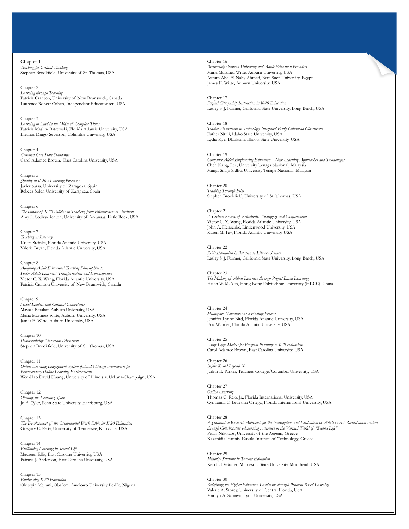Chapter 1 *Teaching for Critical Thinking* Stephen Brookfield, University of St. Thomas, USA

Chapter 2 *Learning through Teaching* Patricia Cranton, University of New Brunswick, Canada Laurence Robert Cohen, Independent Educator ret., USA

Chapter 3 *Learning to Lead in the Midst of Complex Times* Patricia Maslin-Ostrowski, Florida Atlantic University, USA Eleanor Drago-Severson, Columbia University, USA

Chapter 4 *Common Core State Standards* Carol Adamec Brown, East Carolina University, USA

Chapter 5 *Quality in K-20 e-Learning Processes* Javier Sarsa, University of Zaragoza, Spain Rebeca Soler, University of Zaragoza, Spain

Chapter 6 *The Impact of K-20 Policies on Teachers, from Effectiveness to Attrition* Amy L. Sedivy-Benton, University of Arkansas, Little Rock, USA

Chapter 7 *Teaching as Literacy* Krista Steinke, Florida Atlantic University, USA Valerie Bryan, Florida Atlantic University, USA

Chapter 8 *Adapting Adult Educators' Teaching Philosophies to Foster Adult Learners' Transformation and Emancipation* Victor C. X. Wang, Florida Atlantic University, USA Patricia Cranton University of New Brunswick, Canada

Chapter 9 *School Leaders and Cultural Competence* Maysaa Barakat, Auburn University, USA Maria Martinez Witte, Auburn University, USA James E. Witte, Auburn University, USA

Chapter 10 *Democratizing Classroom Discussion* Stephen Brookfield, University of St. Thomas, USA

Chapter 11 *Online Learning Engagement System (OLES) Design Framework for Postsecondary Online Learning Environments* Wen-Hao David Huang, University of Illinois at Urbana-Champaign, USA

Chapter 12 *Opening the Learning Space* Jo A. Tyler, Penn State University-Harrisburg, USA

Chapter 13 *The Development of the Occupational Work Ethic for K-20 Education* Gregory C. Petty, University of Tennessee, Knoxville, USA

Chapter 14 *Facilitating Learning in Second Life* Maureen Ellis, East Carolina University, USA Patricia J. Anderson, East Carolina University, USA

Chapter 15 *Envisioning K-20 Education* Olutoyin Mejiuni, Obafemi Awolowo University Ile-Ife, Nigeria

Chapter 16 *Partnerships between University and Adult Education Providers* Maria Martinez Witte, Auburn University, USA Azzam Abd-El Naby Ahmed, Beni Suef University, Egypt James E. Witte, Auburn University, USA

Chapter 17 *Digital Citizenship Instruction in K-20 Education* Lesley S. J. Farmer, California State University, Long Beach, USA

Chapter 18 *Teacher Assessment in Technology-Integrated Early Childhood Classrooms* Esther Ntuli, Idaho State University, USA Lydia Kyei-Blankson, Illinois State University, USA

Chapter 19 *Computer-Aided Engineering Education – New Learning Approaches and Technologies* Chen Kang, Lee, University Tenaga Nasional, Malaysia Manjit Singh Sidhu, University Tenaga Nasional, Malaysia

Chapter 20 *Teaching Through Film* Stephen Brookfield, University of St. Thomas, USA

Chapter 21 *A Critical Review of Reflectivity, Andragogy and Confucianism* Victor C. X. Wang, Florida Atlantic University, USA John A. Henschke, Lindenwood University, USA Karen M. Fay, Florida Atlantic University, USA

Chapter 22 *K-20 Education in Relation to Library Science* Lesley S. J. Farmer, California State University, Long Beach, USA

Chapter 23 *The Making of Adult Learners through Project Based Learning* Helen W. M. Yeh, Hong Kong Polytechnic University (HKCC), China

Chapter 24 *Multigenre Narratives as a Healing Process* Jennifer Lynne Bird, Florida Atlantic University, USA Eric Wanner, Florida Atlantic University, USA

Chapter 25 *Using Logic Models for Program Planning in K20 Education* Carol Adamec Brown, East Carolina University, USA

Chapter 26 *Before K and Beyond 20* Judith E. Parker, Teachers College/Columbia University, USA

Chapter 27 *Online Learning* Thomas G. Reio, Jr., Florida International University, USA Cyntianna C. Ledesma Ortega, Florida International University, USA

Chapter 28

*A Qualitative Research Approach for the Investigation and Evaluation of Adult Users' Participation Factors through Collaborative e-Learning Activities in the Virtual World of "Second Life"* Pellas Nikolaos, University of the Aegean, Greece Kazanidis Ioannis, Kavala Institute of Technology, Greece

Chapter 29 *Minority Students in Teacher Education* Keri L. DeSutter, Minnesota State University-Moorhead, USA

Chapter 30 *Redefining the Higher Education Landscape through Problem-Based Learning* Valerie A. Storey, University of Central Florida, USA Marilyn A. Schiavo, Lynn University, USA